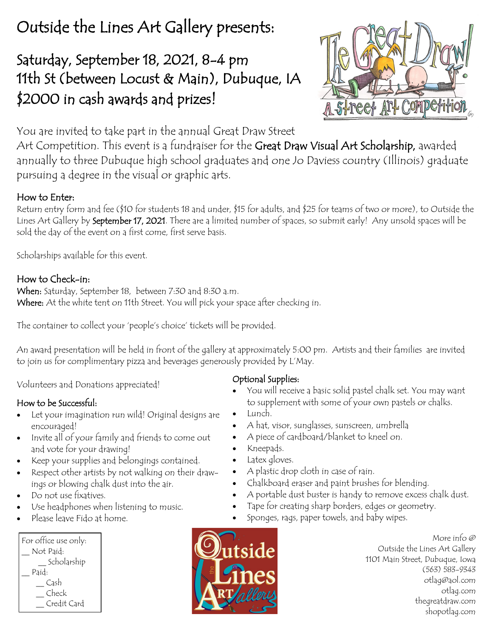# Outside the Lines Art Gallery presents:

## Saturday, September 18, 2021, 8-4 pm 11th St (between Locust & Main), Dubuque, IA \$2000 in cash awards and prizes!



You are invited to take part in the annual Great Draw Street

Art Competition. This event is a fundraiser for the Great Draw Visual Art Scholarship, awarded annually to three Dubuque high school graduates and one Jo Daviess country (Illinois) graduate pursuing a degree in the visual or graphic arts.

#### How to Enter:

Return entry form and fee (\$10 for students 18 and under, \$15 for adults, and \$25 for teams of two or more), to Outside the Lines Art Gallery by **September 17, 2021**. There are a limited number of spaces, so submit early! Any unsold spaces will be sold the day of the event on a first come, first serve basis.

Scholarships available for this event.

#### How to Check-in:

When: Saturday, September 18, between 7:30 and 8:30 a.m. Where: At the white tent on 11th Street. You will pick your space after checking in.

The container to collect your 'people's choice' tickets will be provided.

An award presentation will be held in front of the gallery at approximately 5:00 pm. Artists and their families are invited to join us for complimentary pizza and beverages generously provided by L'May.

Volunteers and Donations appreciated!

#### How to be Successful:

- Let your imagination run wild! Original designs are encouraged!
- Invite all of your family and friends to come out and vote for your drawing!
- Keep your supplies and belongings contained.
- Respect other artists by not walking on their drawings or blowing chalk dust into the air.
- Do not use fixatives.
- Use headphones when listening to music.
- Please leave Fido at home.

| For office use only: |
|----------------------|
| Not Paid:            |
| Scholarship          |
| Paid:                |
| Cash                 |
| Check                |
| Credit Card          |



- You will receive a basic solid pastel chalk set. You may want to supplement with some of your own pastels or chalks.
- Lunch.
- A hat, visor, sunglasses, sunscreen, umbrella
- A piece of cardboard/blanket to kneel on.
- Kneepads.
- Latex gloves.
- A plastic drop cloth in case of rain.
- Chalkboard eraser and paint brushes for blending.
- A portable dust buster is handy to remove excess chalk dust.
- Tape for creating sharp borders, edges or geometry.
- Sponges, rags, paper towels, and baby wipes.



More info @ Outside the Lines Art Gallery 1101 Main Street, Dubuque, Iowa (563) 583-9343 otlag@aol.com otlag.com thegreatdraw.com shopotlag.com